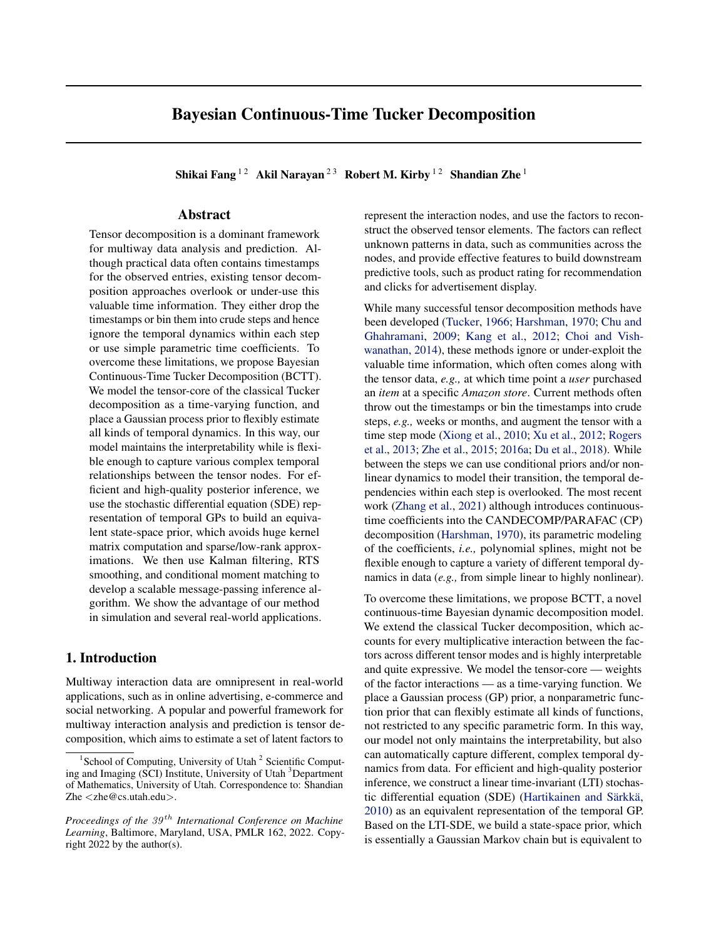# Bayesian Continuous-Time Tucker Decomposition

Shikai Fang <sup>12</sup> Akil Narayan<sup>23</sup> Robert M. Kirby <sup>12</sup> Shandian Zhe <sup>1</sup>

# Abstract

Tensor decomposition is a dominant framework for multiway data analysis and prediction. Although practical data often contains timestamps for the observed entries, existing tensor decomposition approaches overlook or under-use this valuable time information. They either drop the timestamps or bin them into crude steps and hence ignore the temporal dynamics within each step or use simple parametric time coefficients. To overcome these limitations, we propose Bayesian Continuous-Time Tucker Decomposition (BCTT). We model the tensor-core of the classical Tucker decomposition as a time-varying function, and place a Gaussian process prior to flexibly estimate all kinds of temporal dynamics. In this way, our model maintains the interpretability while is flexible enough to capture various complex temporal relationships between the tensor nodes. For efficient and high-quality posterior inference, we use the stochastic differential equation (SDE) representation of temporal GPs to build an equivalent state-space prior, which avoids huge kernel matrix computation and sparse/low-rank approximations. We then use Kalman filtering, RTS smoothing, and conditional moment matching to develop a scalable message-passing inference algorithm. We show the advantage of our method in simulation and several real-world applications.

## 1. Introduction

Multiway interaction data are omnipresent in real-world applications, such as in online advertising, e-commerce and social networking. A popular and powerful framework for multiway interaction analysis and prediction is tensor decomposition, which aims to estimate a set of latent factors to

represent the interaction nodes, and use the factors to reconstruct the observed tensor elements. The factors can reflect unknown patterns in data, such as communities across the nodes, and provide effective features to build downstream predictive tools, such as product rating for recommendation and clicks for advertisement display.

While many successful tensor decomposition methods have been developed [\(Tucker,](#page-10-0) [1966;](#page-10-0) [Harshman,](#page-9-0) [1970;](#page-9-0) [Chu and](#page-9-1) [Ghahramani,](#page-9-1) [2009;](#page-9-1) [Kang et al.,](#page-9-2) [2012;](#page-9-2) [Choi and Vish](#page-9-3)[wanathan,](#page-9-3) [2014\)](#page-9-3), these methods ignore or under-exploit the valuable time information, which often comes along with the tensor data, *e.g.,* at which time point a *user* purchased an *item* at a specific *Amazon store*. Current methods often throw out the timestamps or bin the timestamps into crude steps, *e.g.,* weeks or months, and augment the tensor with a time step mode [\(Xiong et al.,](#page-10-1) [2010;](#page-10-1) [Xu et al.,](#page-10-2) [2012;](#page-10-2) [Rogers](#page-9-4) [et al.,](#page-9-4) [2013;](#page-9-4) [Zhe et al.,](#page-10-3) [2015;](#page-10-3) [2016a;](#page-10-4) [Du et al.,](#page-9-5) [2018\)](#page-9-5). While between the steps we can use conditional priors and/or nonlinear dynamics to model their transition, the temporal dependencies within each step is overlooked. The most recent work [\(Zhang et al.,](#page-10-5) [2021\)](#page-10-5) although introduces continuoustime coefficients into the CANDECOMP/PARAFAC (CP) decomposition [\(Harshman,](#page-9-0) [1970\)](#page-9-0), its parametric modeling of the coefficients, *i.e.,* polynomial splines, might not be flexible enough to capture a variety of different temporal dynamics in data (*e.g.,* from simple linear to highly nonlinear).

To overcome these limitations, we propose BCTT, a novel continuous-time Bayesian dynamic decomposition model. We extend the classical Tucker decomposition, which accounts for every multiplicative interaction between the factors across different tensor modes and is highly interpretable and quite expressive. We model the tensor-core — weights of the factor interactions — as a time-varying function. We place a Gaussian process (GP) prior, a nonparametric function prior that can flexibly estimate all kinds of functions, not restricted to any specific parametric form. In this way, our model not only maintains the interpretability, but also can automatically capture different, complex temporal dynamics from data. For efficient and high-quality posterior inference, we construct a linear time-invariant (LTI) stochastic differential equation (SDE) (Hartikainen and Särkkä, [2010\)](#page-9-6) as an equivalent representation of the temporal GP. Based on the LTI-SDE, we build a state-space prior, which is essentially a Gaussian Markov chain but is equivalent to

<sup>&</sup>lt;sup>1</sup> School of Computing, University of Utah<sup>2</sup> Scientific Computing and Imaging (SCI) Institute, University of Utah <sup>3</sup>Department of Mathematics, University of Utah. Correspondence to: Shandian Zhe <zhe@cs.utah.edu>.

*Proceedings of the 39<sup>th</sup> International Conference on Machine Learning*, Baltimore, Maryland, USA, PMLR 162, 2022. Copyright 2022 by the author(s).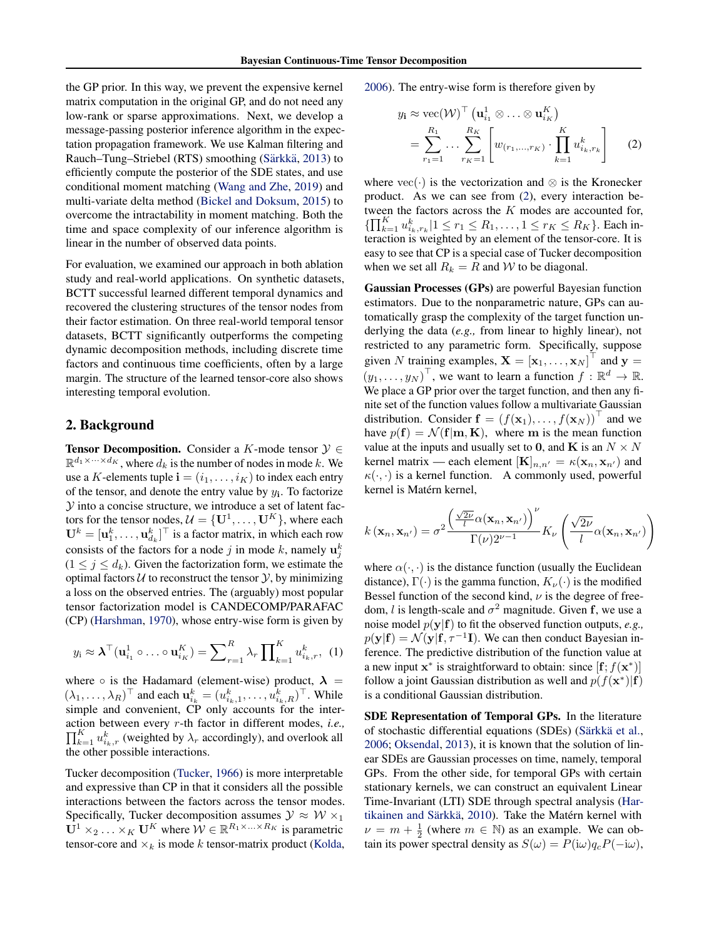the GP prior. In this way, we prevent the expensive kernel matrix computation in the original GP, and do not need any low-rank or sparse approximations. Next, we develop a message-passing posterior inference algorithm in the expectation propagation framework. We use Kalman filtering and Rauch–Tung–Striebel (RTS) smoothing (Särkkä, [2013\)](#page-10-6) to efficiently compute the posterior of the SDE states, and use conditional moment matching [\(Wang and Zhe,](#page-10-7) [2019\)](#page-10-7) and multi-variate delta method [\(Bickel and Doksum,](#page-9-7) [2015\)](#page-9-7) to overcome the intractability in moment matching. Both the time and space complexity of our inference algorithm is linear in the number of observed data points.

For evaluation, we examined our approach in both ablation study and real-world applications. On synthetic datasets, BCTT successful learned different temporal dynamics and recovered the clustering structures of the tensor nodes from their factor estimation. On three real-world temporal tensor datasets, BCTT significantly outperforms the competing dynamic decomposition methods, including discrete time factors and continuous time coefficients, often by a large margin. The structure of the learned tensor-core also shows interesting temporal evolution.

## 2. Background

**Tensor Decomposition.** Consider a K-mode tensor  $\mathcal{Y} \in$  $\mathbb{R}^{d_1 \times \cdots \times d_K}$ , where  $d_k$  is the number of nodes in mode k. We use a K-elements tuple  $\mathbf{i} = (i_1, \dots, i_K)$  to index each entry of the tensor, and denote the entry value by  $y_i$ . To factorize  $Y$  into a concise structure, we introduce a set of latent factors for the tensor nodes,  $\mathcal{U} = \{\mathbf{U}^1, \dots, \mathbf{U}^K\}$ , where each  $\mathbf{U}^k = [\mathbf{u}_1^k, \dots, \mathbf{u}_{d_k}^k]^\top$  is a factor matrix, in which each row consists of the factors for a node j in mode k, namely  $\mathbf{u}_j^k$  $(1 \leq j \leq d_k)$ . Given the factorization form, we estimate the optimal factors  $U$  to reconstruct the tensor  $Y$ , by minimizing a loss on the observed entries. The (arguably) most popular tensor factorization model is CANDECOMP/PARAFAC (CP) [\(Harshman,](#page-9-0) [1970\)](#page-9-0), whose entry-wise form is given by

$$
y_{i} \approx \boldsymbol{\lambda}^{\top}(\mathbf{u}_{i_{1}}^{1} \circ \ldots \circ \mathbf{u}_{i_{K}}^{K}) = \sum_{r=1}^{R} \lambda_{r} \prod_{k=1}^{K} u_{i_{k},r}^{k}, (1)
$$

where  $\circ$  is the Hadamard (element-wise) product,  $\lambda =$  $(\lambda_1, \ldots, \lambda_R)^\top$  and each  $\mathbf{u}_{i_k}^k = (u_{i_k,1}^k, \ldots, u_{i_k,R}^k)^\top$ . While simple and convenient, CP only accounts for the interaction between every r-th factor in different modes, *i.e.,*  $\prod_{k=1}^{K} u_{i_k,r}^k$  (weighted by  $\lambda_r$  accordingly), and overlook all the other possible interactions.

Tucker decomposition [\(Tucker,](#page-10-0) [1966\)](#page-10-0) is more interpretable and expressive than CP in that it considers all the possible interactions between the factors across the tensor modes. Specifically, Tucker decomposition assumes  $\mathcal{Y} \approx \mathcal{W} \times_1$  $\overline{\mathbf{U}}^1 \times_2 \ldots \times_K \mathbf{U}^K$  where  $\mathcal{W} \in \mathbb{R}^{R_1 \times \ldots \times R_K}$  is parametric tensor-core and  $\times_k$  is mode k tensor-matrix product [\(Kolda,](#page-9-8) [2006\)](#page-9-8). The entry-wise form is therefore given by

<span id="page-1-0"></span>
$$
y_{\mathbf{i}} \approx \text{vec}(\mathcal{W})^{\top} \left(\mathbf{u}_{i_1}^1 \otimes \ldots \otimes \mathbf{u}_{i_K}^K\right)
$$
  
= 
$$
\sum_{r_1=1}^{R_1} \ldots \sum_{r_K=1}^{R_K} \left[w_{(r_1,\ldots,r_K)} \cdot \prod_{k=1}^K u_{i_k,r_k}^k\right]
$$
 (2)

where  $\text{vec}(\cdot)$  is the vectorization and ⊗ is the Kronecker product. As we can see from [\(2\)](#page-1-0), every interaction between the factors across the K modes are accounted for,  $\{\prod_{k=1}^{K} u_{i_k,r_k}^k | 1 \leq r_1 \leq R_1, \ldots, 1 \leq r_K \leq R_K\}$ . Each interaction is weighted by an element of the tensor-core. It is easy to see that CP is a special case of Tucker decomposition when we set all  $R_k = R$  and W to be diagonal.

Gaussian Processes (GPs) are powerful Bayesian function estimators. Due to the nonparametric nature, GPs can automatically grasp the complexity of the target function underlying the data (*e.g.,* from linear to highly linear), not restricted to any parametric form. Specifically, suppose given N training examples,  $\mathbf{X} = [\mathbf{x}_1, \dots, \mathbf{x}_N]^\top$  and  $\mathbf{y} =$  $(y_1, \ldots, y_N)^\top$ , we want to learn a function  $f : \mathbb{R}^d \to \mathbb{R}$ . We place a GP prior over the target function, and then any finite set of the function values follow a multivariate Gaussian distribution. Consider  $f = (f(\mathbf{x}_1), \dots, f(\mathbf{x}_N))^{\top}$  and we have  $p(\mathbf{f}) = \mathcal{N}(\mathbf{f}|\mathbf{m}, \mathbf{K})$ , where m is the mean function value at the inputs and usually set to 0, and K is an  $N \times N$ kernel matrix — each element  $[K]_{n,n'} = \kappa(\mathbf{x}_n, \mathbf{x}_{n'})$  and  $\kappa(\cdot, \cdot)$  is a kernel function. A commonly used, powerful kernel is Matérn kernel,

$$
k(\mathbf{x}_n, \mathbf{x}_{n'}) = \sigma^2 \frac{\left(\frac{\sqrt{2\nu}}{l} \alpha(\mathbf{x}_n, \mathbf{x}_{n'})\right)^{\nu}}{\Gamma(\nu) 2^{\nu-1}} K_{\nu} \left(\frac{\sqrt{2\nu}}{l} \alpha(\mathbf{x}_n, \mathbf{x}_{n'})\right)
$$

where  $\alpha(\cdot, \cdot)$  is the distance function (usually the Euclidean distance),  $\Gamma(\cdot)$  is the gamma function,  $K_{\nu}(\cdot)$  is the modified Bessel function of the second kind,  $\nu$  is the degree of freedom, *l* is length-scale and  $\sigma^2$  magnitude. Given **f**, we use a noise model  $p(y|f)$  to fit the observed function outputs, *e.g.*,  $p(\mathbf{y}|\mathbf{f}) = \mathcal{N}(\mathbf{y}|\mathbf{f}, \tau^{-1}\mathbf{I})$ . We can then conduct Bayesian inference. The predictive distribution of the function value at a new input  $\mathbf{x}^*$  is straightforward to obtain: since  $[\mathbf{f}; f(\mathbf{x}^*)]$ follow a joint Gaussian distribution as well and  $p(f(\mathbf{x}^*)|\mathbf{f})$ is a conditional Gaussian distribution.

<span id="page-1-1"></span>SDE Representation of Temporal GPs. In the literature of stochastic differential equations (SDEs) (Särkkä et al., [2006;](#page-10-8) [Oksendal,](#page-9-9) [2013\)](#page-9-9), it is known that the solution of linear SDEs are Gaussian processes on time, namely, temporal GPs. From the other side, for temporal GPs with certain stationary kernels, we can construct an equivalent Linear Time-Invariant (LTI) SDE through spectral analysis [\(Har-](#page-9-6)tikainen and Särkkä, [2010\)](#page-9-6). Take the Matérn kernel with  $\nu = m + \frac{1}{2}$  (where  $m \in \mathbb{N}$ ) as an example. We can obtain its power spectral density as  $S(\omega) = P(i\omega)q_cP(-i\omega)$ ,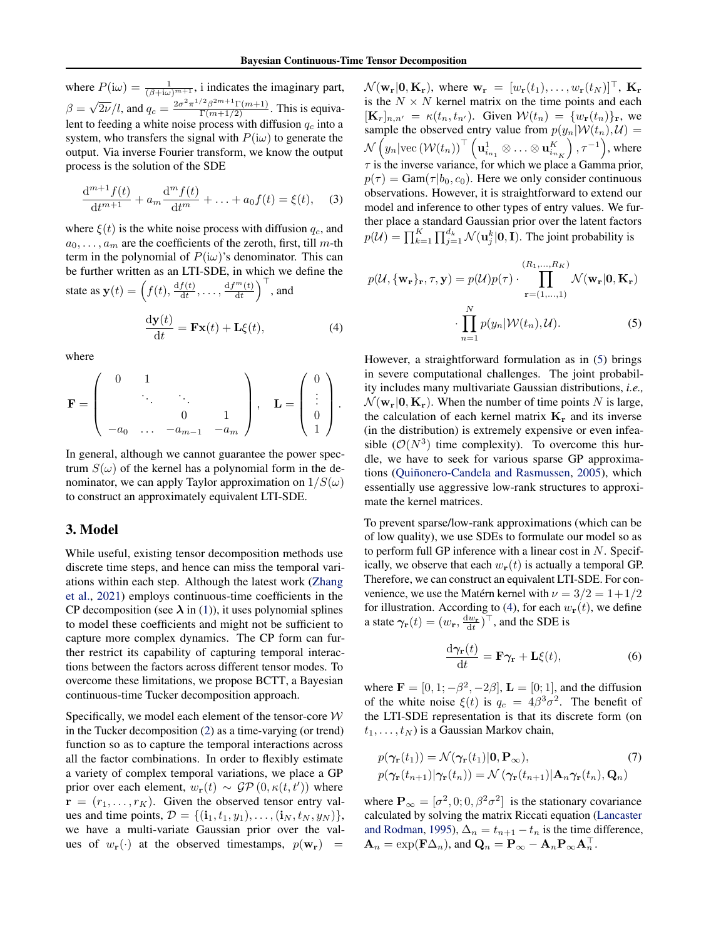where  $P(i\omega) = \frac{1}{(\beta + i\omega)^{m+1}}$ , i indicates the imaginary part,  $\beta =$ √  $\sqrt{2\nu}/l$ , and  $q_c = \frac{2\sigma^2 \pi^{1/2} \beta^{2m+1} \Gamma(m+1)}{\Gamma(m+1/2)}$ . This is equivalent to feeding a white noise process with diffusion  $q_c$  into a system, who transfers the signal with  $P(i\omega)$  to generate the output. Via inverse Fourier transform, we know the output process is the solution of the SDE

$$
\frac{d^{m+1}f(t)}{dt^{m+1}} + a_m \frac{d^m f(t)}{dt^m} + \ldots + a_0 f(t) = \xi(t), \quad (3)
$$

where  $\xi(t)$  is the white noise process with diffusion  $q_c$ , and  $a_0, \ldots, a_m$  are the coefficients of the zeroth, first, till m-th term in the polynomial of  $P(i\omega)$ 's denominator. This can be further written as an LTI-SDE, in which we define the state as  $\mathbf{y}(t) = \left(f(t), \frac{df(t)}{dt}\right)$  $\frac{f(t)}{\mathrm{d}t}, \ldots, \frac{\mathrm{d}f^{m}(t)}{\mathrm{d}t}$  $\left(\frac{m(t)}{\mathrm{d}t}\right)^\top$ , and

$$
\frac{\mathrm{d}\mathbf{y}(t)}{\mathrm{d}t} = \mathbf{F}\mathbf{x}(t) + \mathbf{L}\xi(t),\tag{4}
$$

where

$$
\mathbf{F} = \begin{pmatrix} 0 & 1 & & \\ & \ddots & \ddots & \\ & & 0 & 1 \\ -a_0 & \dots & -a_{m-1} & -a_m \end{pmatrix}, \quad \mathbf{L} = \begin{pmatrix} 0 \\ \vdots \\ 0 \\ 1 \end{pmatrix}.
$$

In general, although we cannot guarantee the power spectrum  $S(\omega)$  of the kernel has a polynomial form in the denominator, we can apply Taylor approximation on  $1/S(\omega)$ to construct an approximately equivalent LTI-SDE.

## 3. Model

While useful, existing tensor decomposition methods use discrete time steps, and hence can miss the temporal variations within each step. Although the latest work [\(Zhang](#page-10-5) [et al.,](#page-10-5) [2021\)](#page-10-5) employs continuous-time coefficients in the CP decomposition (see  $\lambda$  in [\(1\)](#page-1-1)), it uses polynomial splines to model these coefficients and might not be sufficient to capture more complex dynamics. The CP form can further restrict its capability of capturing temporal interactions between the factors across different tensor modes. To overcome these limitations, we propose BCTT, a Bayesian continuous-time Tucker decomposition approach.

Specifically, we model each element of the tensor-core  $W$ in the Tucker decomposition [\(2\)](#page-1-0) as a time-varying (or trend) function so as to capture the temporal interactions across all the factor combinations. In order to flexibly estimate a variety of complex temporal variations, we place a GP prior over each element,  $w_{\mathbf{r}}(t) \sim \mathcal{GP}(0, \kappa(t, t'))$  where  $\mathbf{r} = (r_1, \dots, r_K)$ . Given the observed tensor entry values and time points,  $D = \{(\mathbf{i}_1, t_1, y_1), \dots, (\mathbf{i}_N, t_N, y_N)\},\$ we have a multi-variate Gaussian prior over the values of  $w_{\mathbf{r}}(\cdot)$  at the observed timestamps,  $p(\mathbf{w}_{\mathbf{r}})$  =

 $\mathcal{N}(\mathbf{w_r}|\mathbf{0}, \mathbf{K_r})$ , where  $\mathbf{w_r} = [w_r(t_1), \dots, w_r(t_N)]^{\top}$ ,  $\mathbf{K_r}$ is the  $N \times N$  kernel matrix on the time points and each  $[\mathbf{K}_r]_{n,n'} = \kappa(t_n, t_{n'})$ . Given  $\mathcal{W}(t_n) = \{w_r(t_n)\}_r$ , we sample the observed entry value from  $p(y_n|W(t_n), U)$  =  $\mathcal{N}\left(y_n|\text{vec}\left({\cal W}(t_n)\right)^{\top}\left({\bf u}^1_{i_{n_1}}\otimes\ldots\otimes {\bf u}^K_{i_{n_K}}\right) \right)$  $\left( \rho, \tau^{-1} \right)$ , where  $\tau$  is the inverse variance, for which we place a Gamma prior,  $p(\tau) = \text{Gam}(\tau | b_0, c_0)$ . Here we only consider continuous observations. However, it is straightforward to extend our model and inference to other types of entry values. We further place a standard Gaussian prior over the latent factors  $p(\mathcal{U}) = \prod_{k=1}^K \prod_{j=1}^{d_k} \mathcal{N}(\mathbf{u}_j^k | \mathbf{0}, \mathbf{I}).$  The joint probability is

<span id="page-2-0"></span>
$$
p(\mathcal{U}, \{\mathbf{w_r}\}_{\mathbf{r}}, \tau, \mathbf{y}) = p(\mathcal{U})p(\tau) \cdot \prod_{\mathbf{r} = (1, \dots, 1)}^{(R_1, \dots, R_K)} \mathcal{N}(\mathbf{w_r} | \mathbf{0}, \mathbf{K_r})
$$

$$
\cdot \prod_{n=1}^{N} p(y_n | \mathcal{W}(t_n), \mathcal{U}).
$$
(5)

<span id="page-2-1"></span>However, a straightforward formulation as in [\(5\)](#page-2-0) brings in severe computational challenges. The joint probability includes many multivariate Gaussian distributions, *i.e.,*  $\mathcal{N}(\mathbf{w_r}|\mathbf{0}, \mathbf{K_r})$ . When the number of time points N is large, the calculation of each kernel matrix  $K_r$  and its inverse (in the distribution) is extremely expensive or even infeasible  $(\mathcal{O}(N^3))$  time complexity). To overcome this hurdle, we have to seek for various sparse GP approxima-tions (Quiñonero-Candela and Rasmussen, [2005\)](#page-9-10), which essentially use aggressive low-rank structures to approximate the kernel matrices.

To prevent sparse/low-rank approximations (which can be of low quality), we use SDEs to formulate our model so as to perform full GP inference with a linear cost in  $N$ . Specifically, we observe that each  $w_{\mathbf{r}}(t)$  is actually a temporal GP. Therefore, we can construct an equivalent LTI-SDE. For convenience, we use the Matérn kernel with  $\nu = 3/2 = 1+1/2$ for illustration. According to [\(4\)](#page-2-1), for each  $w_{\bf r}(t)$ , we define a state  $\gamma_{\mathbf{r}}(t) = (w_{\mathbf{r}}, \frac{dw_{\mathbf{r}}}{dt})^{\top}$ , and the SDE is

$$
\frac{\mathrm{d}\gamma_{\mathbf{r}}(t)}{\mathrm{d}t} = \mathbf{F}\gamma_{\mathbf{r}} + \mathbf{L}\xi(t),\tag{6}
$$

where  $\mathbf{F} = [0, 1; -\beta^2, -2\beta], \mathbf{L} = [0, 1],$  and the diffusion of the white noise  $\xi(t)$  is  $q_c = 4\beta^3 \sigma^2$ . The benefit of the LTI-SDE representation is that its discrete form (on  $t_1, \ldots, t_N$ ) is a Gaussian Markov chain,

$$
p(\gamma_{\mathbf{r}}(t_1)) = \mathcal{N}(\gamma_{\mathbf{r}}(t_1)|\mathbf{0}, \mathbf{P}_{\infty}),
$$
  
\n
$$
p(\gamma_{\mathbf{r}}(t_{n+1})|\gamma_{\mathbf{r}}(t_n)) = \mathcal{N}(\gamma_{\mathbf{r}}(t_{n+1})|\mathbf{A}_n\gamma_{\mathbf{r}}(t_n), \mathbf{Q}_n)
$$
 (7)

where  $\mathbf{P}_{\infty} = [\sigma^2, 0; 0, \beta^2 \sigma^2]$  is the stationary covariance calculated by solving the matrix Riccati equation [\(Lancaster](#page-9-11) [and Rodman,](#page-9-11) [1995\)](#page-9-11),  $\Delta_n = t_{n+1} - t_n$  is the time difference,  $\mathbf{A}_n = \exp(\mathbf{F}\Delta_n)$ , and  $\mathbf{Q}_n = \mathbf{P}_{\infty} - \mathbf{A}_n \mathbf{P}_{\infty} \mathbf{A}_n^{\top}$ .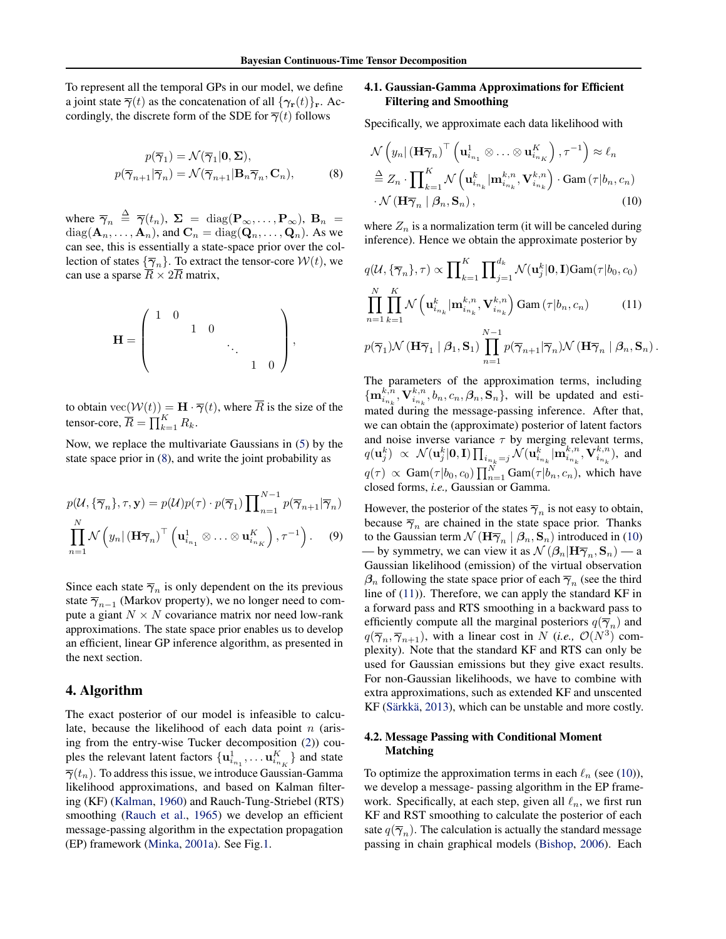To represent all the temporal GPs in our model, we define a joint state  $\overline{\gamma}(t)$  as the concatenation of all  $\{\gamma_{\mathbf{r}}(t)\}_{\mathbf{r}}$ . Accordingly, the discrete form of the SDE for  $\overline{\gamma}(t)$  follows

$$
\label{eq:1D1V:1D} \begin{split} p(\overline{\gamma}_1) &= \mathcal{N}(\overline{\gamma}_1|\mathbf{0},\boldsymbol{\Sigma}),\\ p(\overline{\gamma}_{n+1}|\overline{\gamma}_n) &= \mathcal{N}(\overline{\gamma}_{n+1}|\mathbf{B}_n\overline{\gamma}_n,\mathbf{C}_n), \end{split} \tag{8}
$$

where  $\overline{\gamma}_n \stackrel{\Delta}{=} \overline{\gamma}(t_n)$ ,  $\Sigma = \text{diag}(\mathbf{P}_{\infty}, \dots, \mathbf{P}_{\infty})$ ,  $\mathbf{B}_n =$  $diag(\mathbf{A}_n, \dots, \mathbf{A}_n)$ , and  $\mathbf{C}_n = diag(\mathbf{Q}_n, \dots, \mathbf{Q}_n)$ . As we can see, this is essentially a state-space prior over the collection of states  $\{\overline{\gamma}_n\}$ . To extract the tensor-core  $W(t)$ , we can use a sparse  $\overline{R} \times 2\overline{R}$  matrix,

$$
\mathbf{H} = \begin{pmatrix} 1 & 0 & & & \\ & & 1 & 0 & & \\ & & & \ddots & & \\ & & & & 1 & 0 \end{pmatrix},
$$

to obtain  $\text{vec}(\mathcal{W}(t)) = \mathbf{H} \cdot \overline{\gamma}(t)$ , where  $\overline{R}$  is the size of the tensor-core,  $\overline{R} = \prod_{k=1}^{K} R_k$ .

Now, we replace the multivariate Gaussians in [\(5\)](#page-2-0) by the state space prior in [\(8\)](#page-3-0), and write the joint probability as

$$
p(\mathcal{U}, \{\overline{\gamma}_n\}, \tau, \mathbf{y}) = p(\mathcal{U})p(\tau) \cdot p(\overline{\gamma}_1) \prod_{n=1}^{N-1} p(\overline{\gamma}_{n+1}|\overline{\gamma}_n)
$$

$$
\prod_{n=1}^{N} \mathcal{N}\left(y_n | (\mathbf{H}\overline{\gamma}_n)^{\top} \left(\mathbf{u}_{i_{n_1}}^1 \otimes \ldots \otimes \mathbf{u}_{i_{n_K}}^K\right), \tau^{-1}\right). \tag{9}
$$

Since each state  $\overline{\gamma}_n$  is only dependent on the its previous state  $\overline{\gamma}_{n-1}$  (Markov property), we no longer need to compute a giant  $N \times N$  covariance matrix nor need low-rank approximations. The state space prior enables us to develop an efficient, linear GP inference algorithm, as presented in the next section.

## 4. Algorithm

The exact posterior of our model is infeasible to calculate, because the likelihood of each data point  $n$  (arising from the entry-wise Tucker decomposition [\(2\)](#page-1-0)) couples the relevant latent factors  $\{ \mathbf{u}_{i_{n_1}}^1, \dots, \mathbf{u}_{i_{n_K}}^K \}$  and state  $\overline{\gamma}(t_n)$ . To address this issue, we introduce Gaussian-Gamma likelihood approximations, and based on Kalman filtering (KF) [\(Kalman,](#page-9-12) [1960\)](#page-9-12) and Rauch-Tung-Striebel (RTS) smoothing [\(Rauch et al.,](#page-9-13) [1965\)](#page-9-13) we develop an efficient message-passing algorithm in the expectation propagation (EP) framework [\(Minka,](#page-9-14) [2001a\)](#page-9-14). See Fig[.1.](#page-5-0)

## 4.1. Gaussian-Gamma Approximations for Efficient Filtering and Smoothing

Specifically, we approximate each data likelihood with

<span id="page-3-1"></span><span id="page-3-0"></span>
$$
\mathcal{N}\left(y_n | (\mathbf{H}\overline{\boldsymbol{\gamma}}_n)^{\top} \left(\mathbf{u}_{i_{n_1}}^1 \otimes \ldots \otimes \mathbf{u}_{i_{n_K}}^K\right), \tau^{-1}\right) \approx \ell_n
$$
  

$$
\stackrel{\Delta}{=} Z_n \cdot \prod_{k=1}^K \mathcal{N}\left(\mathbf{u}_{i_{n_k}}^k | \mathbf{m}_{i_{n_k}}^{k,n}, \mathbf{V}_{i_{n_k}}^{k,n}\right) \cdot \text{Gam}\left(\tau | b_n, c_n\right)
$$
  

$$
\cdot \mathcal{N}\left(\mathbf{H}\overline{\boldsymbol{\gamma}}_n | \beta_n, \mathbf{S}_n\right),
$$
 (10)

where  $Z_n$  is a normalization term (it will be canceled during inference). Hence we obtain the approximate posterior by

<span id="page-3-2"></span>
$$
q(\mathcal{U}, \{\overline{\gamma}_n\}, \tau) \propto \prod_{k=1}^K \prod_{j=1}^{d_k} \mathcal{N}(\mathbf{u}_j^k | \mathbf{0}, \mathbf{I}) \text{Gam}(\tau | b_0, c_0)
$$
  

$$
\prod_{n=1}^N \prod_{k=1}^K \mathcal{N}(\mathbf{u}_{i_{n_k}}^k | \mathbf{m}_{i_{n_k}}^{k,n}, \mathbf{V}_{i_{n_k}}^{k,n}) \text{Gam}(\tau | b_n, c_n) \qquad (11)
$$
  

$$
p(\overline{\gamma}_1) \mathcal{N}(\mathbf{H} \overline{\gamma}_1 | \beta_1, \mathbf{S}_1) \prod_{n=1}^{N-1} p(\overline{\gamma}_{n+1} | \overline{\gamma}_n) \mathcal{N}(\mathbf{H} \overline{\gamma}_n | \beta_n, \mathbf{S}_n).
$$

The parameters of the approximation terms, including  $\{\mathbf m_{i_{n_k}}^{k,n},\mathbf V_{i_{n_k}}^{k,n},b_n,c_n,\boldsymbol{\beta}_n,\widetilde{\mathbf{S}}_n\}$ , will be updated and estimated during the message-passing inference. After that, we can obtain the (approximate) posterior of latent factors and noise inverse variance  $\tau$  by merging relevant terms,  $q(\mathbf{u}_j^k) \ \propto \ \mathcal{N}(\mathbf{u}_j^k | \mathbf{0}, \mathbf{I}) \prod_{i_{n_k} = j} \mathcal{N}(\mathbf{u}_{i_{n_k}}^k | \mathbf{m}_{i_{n_k}}^{k,n}, \mathbf{V}_{i_{n_k}}^{k,n}),$  and  $q(\tau) \propto \text{Gam}(\tau | b_0, c_0) \prod_{n=1}^{N} \text{Gam}(\tau | b_n, c_n)$ , which have closed forms, *i.e.,* Gaussian or Gamma.

However, the posterior of the states  $\overline{\gamma}_n$  is not easy to obtain, because  $\overline{\gamma}_n$  are chained in the state space prior. Thanks to the Gaussian term  $\mathcal{N}(\mathbf{H}\overline{\boldsymbol{\gamma}}_n | \boldsymbol{\beta}_n, \mathbf{S}_n)$  introduced in [\(10\)](#page-3-1) — by symmetry, we can view it as  $\mathcal{N}(\beta_n|\mathbf{H}\overline{\gamma}_n, \mathbf{S}_n)$  — a Gaussian likelihood (emission) of the virtual observation  $\beta_n$  following the state space prior of each  $\overline{\gamma}_n$  (see the third line of [\(11\)](#page-3-2)). Therefore, we can apply the standard KF in a forward pass and RTS smoothing in a backward pass to efficiently compute all the marginal posteriors  $q(\overline{\gamma}_n)$  and  $q(\overline{\gamma}_n, \overline{\gamma}_{n+1})$ , with a linear cost in N (*i.e.*,  $\mathcal{O}(N^3)$  complexity). Note that the standard KF and RTS can only be used for Gaussian emissions but they give exact results. For non-Gaussian likelihoods, we have to combine with extra approximations, such as extended KF and unscented KF (Särkkä, [2013\)](#page-10-6), which can be unstable and more costly.

## 4.2. Message Passing with Conditional Moment Matching

To optimize the approximation terms in each  $\ell_n$  (see [\(10\)](#page-3-1)), we develop a message- passing algorithm in the EP framework. Specifically, at each step, given all  $\ell_n$ , we first run KF and RST smoothing to calculate the posterior of each sate  $q(\overline{\gamma}_n)$ . The calculation is actually the standard message passing in chain graphical models [\(Bishop,](#page-9-15) [2006\)](#page-9-15). Each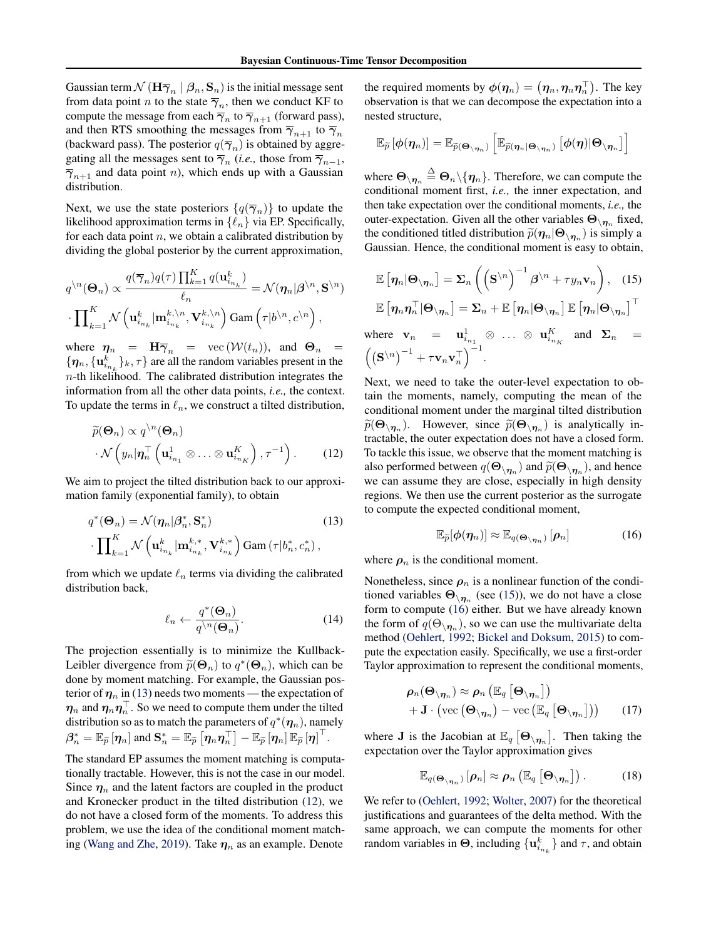Gaussian term  $\mathcal{N}(\mathbf{H}\overline{\gamma}_n \mid \beta_n, \mathbf{S}_n)$  is the initial message sent from data point *n* to the state  $\overline{\gamma}_n$ , then we conduct KF to compute the message from each  $\overline{\gamma}_n$  to  $\overline{\gamma}_{n+1}$  (forward pass), and then RTS smoothing the messages from  $\overline{\gamma}_{n+1}$  to  $\overline{\gamma}_n$ (backward pass). The posterior  $q(\overline{\gamma}_n)$  is obtained by aggregating all the messages sent to  $\overline{\gamma}_n$  (*i.e.*, those from  $\overline{\gamma}_{n-1}$ ,  $\overline{\gamma}_{n+1}$  and data point n), which ends up with a Gaussian distribution.

Next, we use the state posteriors  $\{q(\overline{\gamma}_n)\}$  to update the likelihood approximation terms in  $\{\ell_n\}$  via EP. Specifically, for each data point  $n$ , we obtain a calibrated distribution by dividing the global posterior by the current approximation,

$$
q^{\n}(\mathbf{\Theta}_n) \propto \frac{q(\overline{\gamma}_n)q(\tau)\prod_{k=1}^K q(\mathbf{u}_{i_{n_k}}^k)}{\ell_n} = \mathcal{N}(\boldsymbol{\eta}_n|\boldsymbol{\beta}^{\backslash n}, \mathbf{S}^{\backslash n})
$$

$$
\cdot \prod_{k=1}^K \mathcal{N}\left(\mathbf{u}_{i_{n_k}}^k | \mathbf{m}_{i_{n_k}}^{k, \backslash n}, \mathbf{V}_{i_{n_k}}^{k, \backslash n}\right) \text{Gam}\left(\tau|b^{\backslash n}, c^{\backslash n}\right),
$$

where  $\eta_n = H \overline{\gamma}_n = \text{vec}(\mathcal{W}(t_n)),$  and  $\Theta_n =$  $\{\boldsymbol{\eta}_n, \{\mathbf{u}_{i_{n_k}}^k\}_k, \tau\}$  are all the random variables present in the  $n$ -th likelihood. The calibrated distribution integrates the information from all the other data points, *i.e.,* the context. To update the terms in  $\ell_n$ , we construct a tilted distribution,

$$
\widetilde{p}(\mathbf{\Theta}_n) \propto q^{\setminus n}(\mathbf{\Theta}_n) \cdot \mathcal{N}\left(y_n|\boldsymbol{\eta}_n^\top \left(\mathbf{u}_{i_{n_1}}^1 \otimes \ldots \otimes \mathbf{u}_{i_{n_K}}^K\right), \tau^{-1}\right).
$$
\n(12)

We aim to project the tilted distribution back to our approximation family (exponential family), to obtain

$$
q^*(\mathbf{\Theta}_n) = \mathcal{N}(\boldsymbol{\eta}_n | \boldsymbol{\beta}_n^*, \mathbf{S}_n^*)
$$
\n
$$
\cdot \prod_{k=1}^K \mathcal{N}\left(\mathbf{u}_{i_{n_k}}^k | \mathbf{m}_{i_{n_k}}^{k,*}, \mathbf{V}_{i_{n_k}}^{k,*}\right) \text{Gam}\left(\tau | b_n^*, c_n^*\right),
$$
\n(13)

from which we update  $\ell_n$  terms via dividing the calibrated distribution back,

$$
\ell_n \leftarrow \frac{q^*(\mathbf{\Theta}_n)}{q^{\backslash n}(\mathbf{\Theta}_n)}.\tag{14}
$$

The projection essentially is to minimize the Kullback-Leibler divergence from  $\tilde{p}(\Theta_n)$  to  $q^*(\Theta_n)$ , which can be done by moment matching. For example, the Gaussian pos done by moment matching. For example, the Gaussian posterior of  $\eta_n$  in [\(13\)](#page-4-0) needs two moments — the expectation of  $\boldsymbol{\eta}_n$  and  $\boldsymbol{\eta}_n\boldsymbol{\eta}_n^\top.$  So we need to compute them under the tilted distribution so as to match the parameters of  $q^*(\boldsymbol{\eta}_n)$ , namely  $\beta_n^* = \mathbb{E}_{\widetilde{p}}\left[\eta_n\right]$  and  $\mathbf{S}_n^* = \mathbb{E}_{\widetilde{p}}\left[\eta_n\eta_n^\top\right] - \mathbb{E}_{\widetilde{p}}\left[\eta_n\right]\mathbb{E}_{\widetilde{p}}\left[\eta\right]^\top$ .

The standard EP assumes the moment matching is computationally tractable. However, this is not the case in our model. Since  $\eta_n$  and the latent factors are coupled in the product and Kronecker product in the tilted distribution [\(12\)](#page-4-1), we do not have a closed form of the moments. To address this problem, we use the idea of the conditional moment match-ing [\(Wang and Zhe,](#page-10-7) [2019\)](#page-10-7). Take  $\eta_n$  as an example. Denote

the required moments by  $\phi(\boldsymbol{\eta}_n) = \left(\boldsymbol{\eta}_n, \boldsymbol{\eta}_n \boldsymbol{\eta}_n^\top\right)$ . The key observation is that we can decompose the expectation into a nested structure,

$$
\mathbb{E}_{\widetilde{p}}\left[\phi(\boldsymbol{\eta}_n)\right] = \mathbb{E}_{\widetilde{p}(\boldsymbol{\Theta}_{\setminus\boldsymbol{\eta}_n})}\left[\mathbb{E}_{\widetilde{p}(\boldsymbol{\eta}_n|\boldsymbol{\Theta}_{\setminus\boldsymbol{\eta}_n})}\left[\phi(\boldsymbol{\eta})|\boldsymbol{\Theta}_{\setminus\boldsymbol{\eta}_n}\right]\right]
$$

where  $\Theta_{\setminus\boldsymbol{\eta}_n} \stackrel{\Delta}{=} \Theta_n \backslash \{\boldsymbol{\eta}_n\}.$  Therefore, we can compute the conditional moment first, *i.e.,* the inner expectation, and then take expectation over the conditional moments, *i.e.,* the outer-expectation. Given all the other variables  $\Theta_{\setminus n_n}$  fixed, the conditioned titled distribution  $\tilde{p}(\boldsymbol{\eta}_n | \boldsymbol{\Theta}_{\setminus \boldsymbol{\eta}_n})$  is simply a Gaussian. Hence, the conditional moment is easy to obtain Gaussian. Hence, the conditional moment is easy to obtain,

<span id="page-4-2"></span>
$$
\mathbb{E}\left[\eta_n|\Theta_{\setminus\eta_n}\right] = \Sigma_n \left( \left(\mathbf{S}^{\setminus n}\right)^{-1}\beta^{\setminus n} + \tau y_n \mathbf{v}_n \right), \quad (15)
$$

$$
\mathbb{E}\left[\eta_n \eta_n^{\top}|\Theta_{\setminus\eta_n}\right] = \Sigma_n + \mathbb{E}\left[\eta_n|\Theta_{\setminus\eta_n}\right] \mathbb{E}\left[\eta_n|\Theta_{\setminus\eta_n}\right]^{\top}
$$

where 
$$
\mathbf{v}_n = \mathbf{u}_{i_{n_1}}^1 \otimes \dots \otimes \mathbf{u}_{i_{n_K}}^K
$$
 and  $\Sigma_n = ((\mathbf{S}^{\setminus n})^{-1} + \tau \mathbf{v}_n \mathbf{v}_n^\top)^{-1}$ .

<span id="page-4-1"></span>Next, we need to take the outer-level expectation to obtain the moments, namely, computing the mean of the conditional moment under the marginal tilted distribution  $\widetilde{p}(\Theta_{\setminus n_n})$ . However, since  $\widetilde{p}(\Theta_{\setminus n_n})$  is analytically in-<br>tractable the outer expectation does not have a closed form tractable, the outer expectation does not have a closed form. To tackle this issue, we observe that the moment matching is also performed between  $q(\Theta_{\setminus n_n})$  and  $\widetilde{p}(\Theta_{\setminus n_n})$ , and hence we can assume they are close, especially in high density regions. We then use the current posterior as the surrogate to compute the expected conditional moment,

<span id="page-4-3"></span>
$$
\mathbb{E}_{\widetilde{p}}[\phi(\eta_n)] \approx \mathbb{E}_{q(\mathbf{\Theta}_{\setminus \eta_n})}[\rho_n]
$$
 (16)

<span id="page-4-0"></span>where  $\rho_n$  is the conditional moment.

<span id="page-4-4"></span>Nonetheless, since  $\rho_n$  is a nonlinear function of the conditioned variables  $\Theta_{\setminus \eta_n}$  (see [\(15\)](#page-4-2)), we do not have a close form to compute [\(16\)](#page-4-3) either. But we have already known the form of  $q(\Theta_{\setminus \eta_n})$ , so we can use the multivariate delta method [\(Oehlert,](#page-9-16) [1992;](#page-9-16) [Bickel and Doksum,](#page-9-7) [2015\)](#page-9-7) to compute the expectation easily. Specifically, we use a first-order Taylor approximation to represent the conditional moments,

$$
\rho_n(\Theta_{\setminus \eta_n}) \approx \rho_n\left(\mathbb{E}_q\left[\Theta_{\setminus \eta_n}\right]\right) + \mathbf{J} \cdot \left(\text{vec}\left(\Theta_{\setminus \eta_n}\right) - \text{vec}\left(\mathbb{E}_q\left[\Theta_{\setminus \eta_n}\right]\right)\right) \qquad (17)
$$

where **J** is the Jacobian at  $\mathbb{E}_q \left[ \Theta_{\setminus \eta_n} \right]$ . Then taking the expectation over the Taylor approximation gives

<span id="page-4-5"></span>
$$
\mathbb{E}_{q(\mathbf{\Theta}_{\setminus\eta_n})}\left[\boldsymbol{\rho}_n\right] \approx \boldsymbol{\rho}_n\left(\mathbb{E}_q\left[\mathbf{\Theta}_{\setminus\boldsymbol{\eta}_n}\right]\right). \hspace{1cm} (18)
$$

We refer to [\(Oehlert,](#page-9-16) [1992;](#page-9-16) [Wolter,](#page-10-9) [2007\)](#page-10-9) for the theoretical justifications and guarantees of the delta method. With the same approach, we can compute the moments for other random variables in  $\Theta$ , including  $\{u_{i_{n_k}}^k\}$  and  $\tau$ , and obtain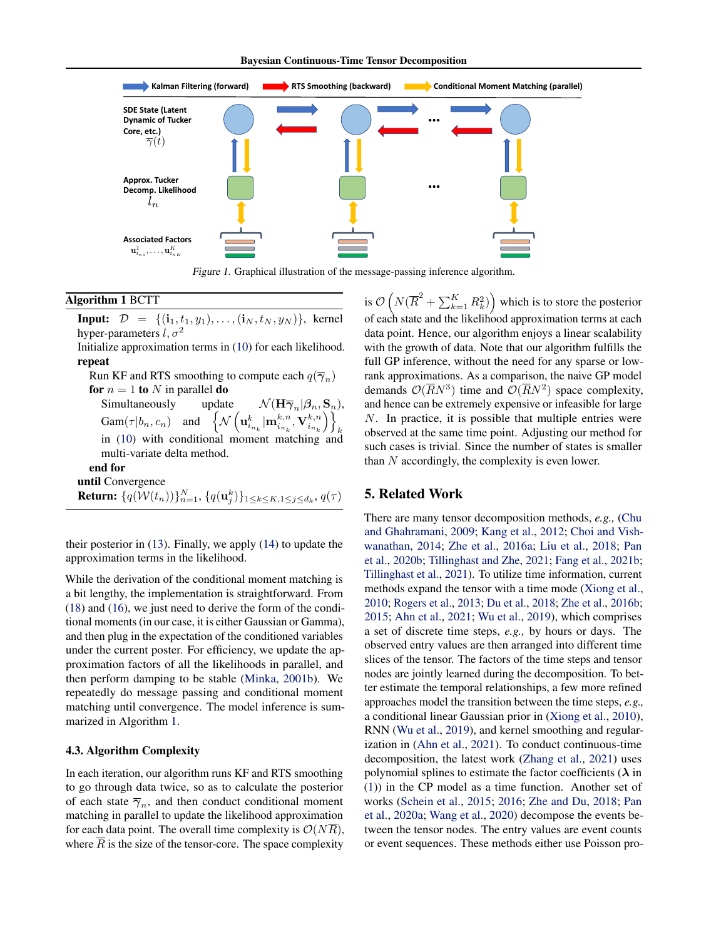<span id="page-5-0"></span>

Figure 1. Graphical illustration of the message-passing inference algorithm.

#### <span id="page-5-1"></span>Algorithm 1 BCTT

**Input:**  $D = \{(\mathbf{i}_1, t_1, y_1), \dots, (\mathbf{i}_N, t_N, y_N)\},\$  kernel hyper-parameters  $l, \sigma^2$ 

Initialize approximation terms in [\(10\)](#page-3-1) for each likelihood. repeat

Run KF and RTS smoothing to compute each  $q(\overline{\gamma}_n)$ for  $n = 1$  to N in parallel do Simultaneously update  $\mathcal{N}(\mathbf{H}\overline{\gamma}_n|\beta_n, \mathbf{S}_n)$ ,  $\mathrm{Gam}(\tau|b_n, c_n)$  and  $\left\{\mathcal{N}\left(\mathbf{u}_{i_{n_k}}^k|\mathbf{m}_{i_{n_k}}^{k,n}, \mathbf{V}_{i_{n_k}}^{k,n}\right)\right\}$  $\setminus$ k in [\(10\)](#page-3-1) with conditional moment matching and multi-variate delta method. end for until Convergence Return:  $\{q(\mathcal{W}(t_n))\}_{n=1}^N,$   $\{q(\mathbf{u}^k_j)\}_{1\leq k\leq K, 1\leq j\leq d_k},$   $q(\tau)$ 

their posterior in [\(13\)](#page-4-0). Finally, we apply [\(14\)](#page-4-4) to update the approximation terms in the likelihood.

While the derivation of the conditional moment matching is a bit lengthy, the implementation is straightforward. From [\(18\)](#page-4-5) and [\(16\)](#page-4-3), we just need to derive the form of the conditional moments (in our case, it is either Gaussian or Gamma), and then plug in the expectation of the conditioned variables under the current poster. For efficiency, we update the approximation factors of all the likelihoods in parallel, and then perform damping to be stable [\(Minka,](#page-9-17) [2001b\)](#page-9-17). We repeatedly do message passing and conditional moment matching until convergence. The model inference is summarized in Algorithm [1.](#page-5-1)

#### 4.3. Algorithm Complexity

In each iteration, our algorithm runs KF and RTS smoothing to go through data twice, so as to calculate the posterior of each state  $\overline{\gamma}_n$ , and then conduct conditional moment matching in parallel to update the likelihood approximation for each data point. The overall time complexity is  $\mathcal{O}(N\overline{R})$ , where  $\overline{R}$  is the size of the tensor-core. The space complexity

is  $\mathcal{O}\left(N(\overline{R}^2+\sum_{k=1}^K R_k^2)\right)$  which is to store the posterior of each state and the likelihood approximation terms at each data point. Hence, our algorithm enjoys a linear scalability with the growth of data. Note that our algorithm fulfills the full GP inference, without the need for any sparse or lowrank approximations. As a comparison, the naive GP model demands  $\mathcal{O}(\overline{R}N^3)$  time and  $\mathcal{O}(\overline{R}N^2)$  space complexity, and hence can be extremely expensive or infeasible for large N. In practice, it is possible that multiple entries were observed at the same time point. Adjusting our method for such cases is trivial. Since the number of states is smaller than  $N$  accordingly, the complexity is even lower.

## 5. Related Work

There are many tensor decomposition methods, *e.g.,* [\(Chu](#page-9-1) [and Ghahramani,](#page-9-1) [2009;](#page-9-1) [Kang et al.,](#page-9-2) [2012;](#page-9-2) [Choi and Vish](#page-9-3)[wanathan,](#page-9-3) [2014;](#page-9-3) [Zhe et al.,](#page-10-4) [2016a;](#page-10-4) [Liu et al.,](#page-9-18) [2018;](#page-9-18) [Pan](#page-9-19) [et al.,](#page-9-19) [2020b;](#page-9-19) [Tillinghast and Zhe,](#page-10-10) [2021;](#page-10-10) [Fang et al.,](#page-9-20) [2021b;](#page-9-20) [Tillinghast et al.,](#page-10-11) [2021\)](#page-10-11). To utilize time information, current methods expand the tensor with a time mode [\(Xiong et al.,](#page-10-1) [2010;](#page-10-1) [Rogers et al.,](#page-9-4) [2013;](#page-9-4) [Du et al.,](#page-9-5) [2018;](#page-9-5) [Zhe et al.,](#page-10-12) [2016b;](#page-10-12) [2015;](#page-10-3) [Ahn et al.,](#page-9-21) [2021;](#page-9-21) [Wu et al.,](#page-10-13) [2019\)](#page-10-13), which comprises a set of discrete time steps, *e.g.,* by hours or days. The observed entry values are then arranged into different time slices of the tensor. The factors of the time steps and tensor nodes are jointly learned during the decomposition. To better estimate the temporal relationships, a few more refined approaches model the transition between the time steps, *e.g.,* a conditional linear Gaussian prior in [\(Xiong et al.,](#page-10-1) [2010\)](#page-10-1), RNN [\(Wu et al.,](#page-10-13) [2019\)](#page-10-13), and kernel smoothing and regularization in [\(Ahn et al.,](#page-9-21) [2021\)](#page-9-21). To conduct continuous-time decomposition, the latest work [\(Zhang et al.,](#page-10-5) [2021\)](#page-10-5) uses polynomial splines to estimate the factor coefficients  $(\lambda)$  in [\(1\)](#page-1-1)) in the CP model as a time function. Another set of works [\(Schein et al.,](#page-10-14) [2015;](#page-10-14) [2016;](#page-10-15) [Zhe and Du,](#page-10-16) [2018;](#page-10-16) [Pan](#page-9-22) [et al.,](#page-9-22) [2020a;](#page-9-22) [Wang et al.,](#page-10-17) [2020\)](#page-10-17) decompose the events between the tensor nodes. The entry values are event counts or event sequences. These methods either use Poisson pro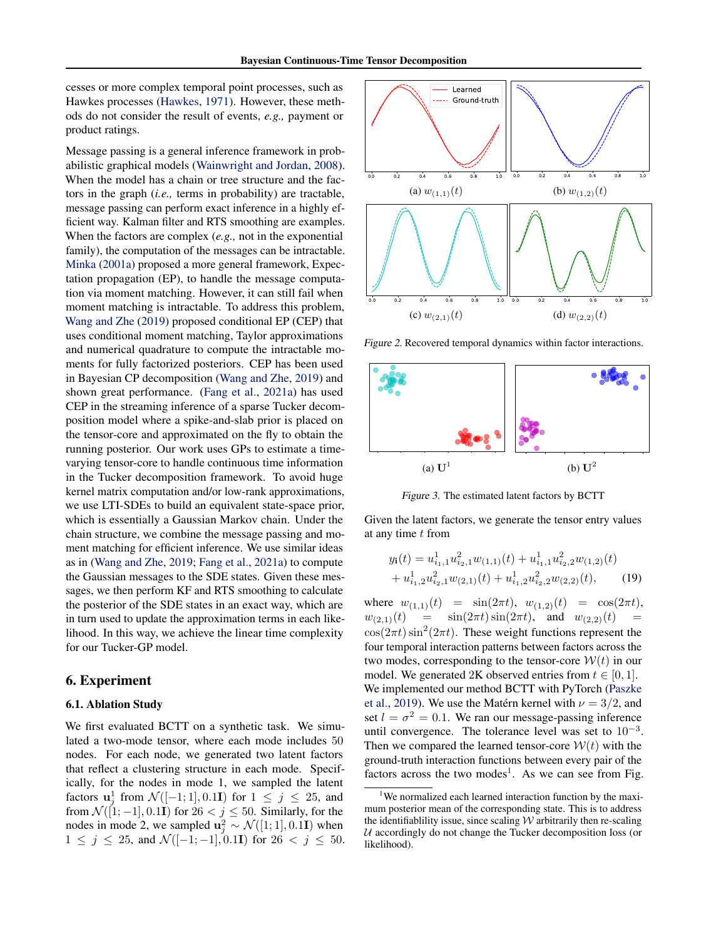cesses or more complex temporal point processes, such as Hawkes processes [\(Hawkes,](#page-9-23) [1971\)](#page-9-23). However, these methods do not consider the result of events, *e.g.,* payment or product ratings.

Message passing is a general inference framework in probabilistic graphical models [\(Wainwright and Jordan,](#page-10-18) [2008\)](#page-10-18). When the model has a chain or tree structure and the factors in the graph (*i.e.,* terms in probability) are tractable, message passing can perform exact inference in a highly efficient way. Kalman filter and RTS smoothing are examples. When the factors are complex (*e.g.,* not in the exponential family), the computation of the messages can be intractable. [Minka](#page-9-14) [\(2001a\)](#page-9-14) proposed a more general framework, Expectation propagation (EP), to handle the message computation via moment matching. However, it can still fail when moment matching is intractable. To address this problem, [Wang and Zhe](#page-10-7) [\(2019\)](#page-10-7) proposed conditional EP (CEP) that uses conditional moment matching, Taylor approximations and numerical quadrature to compute the intractable moments for fully factorized posteriors. CEP has been used in Bayesian CP decomposition [\(Wang and Zhe,](#page-10-7) [2019\)](#page-10-7) and shown great performance. [\(Fang et al.,](#page-9-24) [2021a\)](#page-9-24) has used CEP in the streaming inference of a sparse Tucker decomposition model where a spike-and-slab prior is placed on the tensor-core and approximated on the fly to obtain the running posterior. Our work uses GPs to estimate a timevarying tensor-core to handle continuous time information in the Tucker decomposition framework. To avoid huge kernel matrix computation and/or low-rank approximations, we use LTI-SDEs to build an equivalent state-space prior, which is essentially a Gaussian Markov chain. Under the chain structure, we combine the message passing and moment matching for efficient inference. We use similar ideas as in [\(Wang and Zhe,](#page-10-7) [2019;](#page-10-7) [Fang et al.,](#page-9-24) [2021a\)](#page-9-24) to compute the Gaussian messages to the SDE states. Given these messages, we then perform KF and RTS smoothing to calculate the posterior of the SDE states in an exact way, which are in turn used to update the approximation terms in each likelihood. In this way, we achieve the linear time complexity for our Tucker-GP model.

## 6. Experiment

#### 6.1. Ablation Study

We first evaluated BCTT on a synthetic task. We simulated a two-mode tensor, where each mode includes 50 nodes. For each node, we generated two latent factors that reflect a clustering structure in each mode. Specifically, for the nodes in mode 1, we sampled the latent factors  $\mathbf{u}_j^1$  from  $\mathcal{N}([-1; 1], 0.1\mathbf{I})$  for  $1 \leq j \leq 25$ , and from  $\mathcal{N}([1;-1], 0.1\mathbf{I})$  for  $26 < j \leq 50$ . Similarly, for the nodes in mode 2, we sampled  $\mathbf{u}_j^2 \sim \mathcal{N}([1; 1], 0.1\mathbf{I})$  when  $1 \leq j \leq 25$ , and  $\mathcal{N}([-1;-1], 0.1\mathbf{I})$  for  $26 < j \leq 50$ .

<span id="page-6-1"></span>

Figure 2. Recovered temporal dynamics within factor interactions.

<span id="page-6-2"></span>

Figure 3. The estimated latent factors by BCTT

Given the latent factors, we generate the tensor entry values at any time  $t$  from

$$
y_{\mathbf{i}}(t) = u_{i_1,1}^1 u_{i_2,1}^2 w_{(1,1)}(t) + u_{i_1,1}^1 u_{i_2,2}^2 w_{(1,2)}(t) + u_{i_1,2}^1 u_{i_2,1}^2 w_{(2,1)}(t) + u_{i_1,2}^1 u_{i_2,2}^2 w_{(2,2)}(t),
$$
 (19)

where  $w_{(1,1)}(t) = \sin(2\pi t), w_{(1,2)}(t) = \cos(2\pi t),$  $w_{(2,1)}(t) = \sin(2\pi t)\sin(2\pi t), \text{ and } w_{(2,2)}(t)$  $\cos(2\pi t) \sin^2(2\pi t)$ . These weight functions represent the four temporal interaction patterns between factors across the two modes, corresponding to the tensor-core  $W(t)$  in our model. We generated 2K observed entries from  $t \in [0, 1]$ . We implemented our method BCTT with PyTorch [\(Paszke](#page-9-25) [et al.,](#page-9-25) [2019\)](#page-9-25). We use the Matérn kernel with  $\nu = 3/2$ , and set  $l = \sigma^2 = 0.1$ . We ran our message-passing inference until convergence. The tolerance level was set to  $10^{-3}$ . Then we compared the learned tensor-core  $W(t)$  with the ground-truth interaction functions between every pair of the factors across the two modes<sup>[1](#page-6-0)</sup>. As we can see from Fig.

<span id="page-6-0"></span><sup>&</sup>lt;sup>1</sup>We normalized each learned interaction function by the maximum posterior mean of the corresponding state. This is to address the identifiablility issue, since scaling  $W$  arbitrarily then re-scaling  $U$  accordingly do not change the Tucker decomposition loss (or likelihood).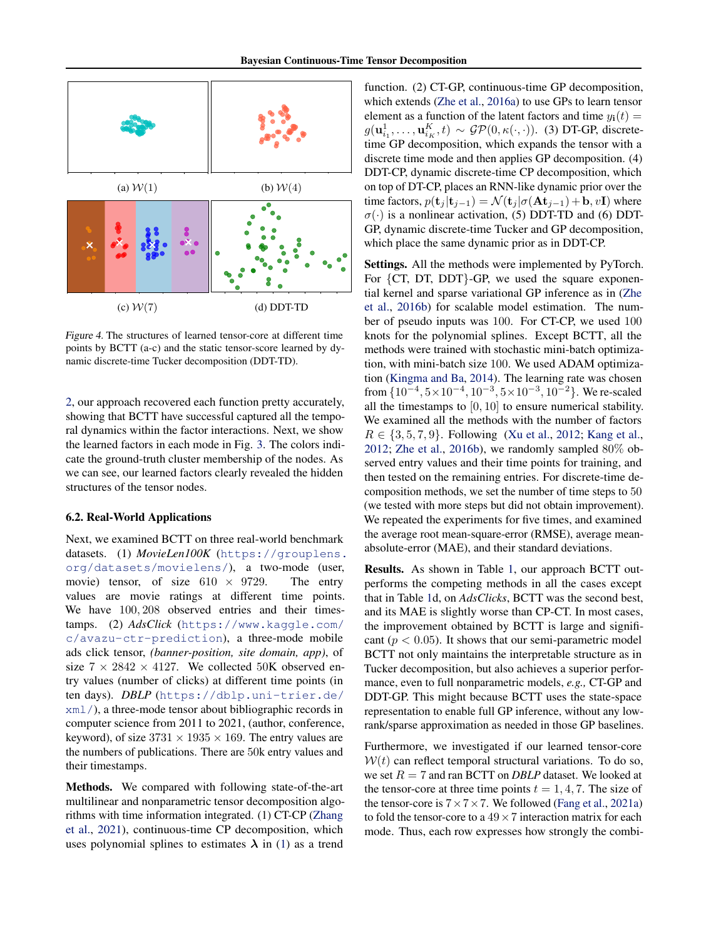<span id="page-7-0"></span>

Figure 4. The structures of learned tensor-core at different time points by BCTT (a-c) and the static tensor-score learned by dynamic discrete-time Tucker decomposition (DDT-TD).

[2,](#page-6-1) our approach recovered each function pretty accurately, showing that BCTT have successful captured all the temporal dynamics within the factor interactions. Next, we show the learned factors in each mode in Fig. [3.](#page-6-2) The colors indicate the ground-truth cluster membership of the nodes. As we can see, our learned factors clearly revealed the hidden structures of the tensor nodes.

#### 6.2. Real-World Applications

Next, we examined BCTT on three real-world benchmark datasets. (1) *MovieLen100K* ([https://grouplens.](https://grouplens.org/datasets/movielens/) [org/datasets/movielens/](https://grouplens.org/datasets/movielens/)), a two-mode (user, movie) tensor, of size  $610 \times 9729$ . The entry values are movie ratings at different time points. We have  $100, 208$  observed entries and their timestamps. (2) *AdsClick* ([https://www.kaggle.com/](https://www.kaggle.com/c/avazu-ctr-prediction) [c/avazu-ctr-prediction](https://www.kaggle.com/c/avazu-ctr-prediction)), a three-mode mobile ads click tensor, *(banner-position, site domain, app)*, of size  $7 \times 2842 \times 4127$ . We collected 50K observed entry values (number of clicks) at different time points (in ten days). *DBLP* ([https://dblp.uni-trier.de/](https://dblp.uni-trier.de/xml/) [xml/](https://dblp.uni-trier.de/xml/)), a three-mode tensor about bibliographic records in computer science from 2011 to 2021, (author, conference, keyword), of size  $3731 \times 1935 \times 169$ . The entry values are the numbers of publications. There are 50k entry values and their timestamps.

Methods. We compared with following state-of-the-art multilinear and nonparametric tensor decomposition algorithms with time information integrated. (1) CT-CP [\(Zhang](#page-10-5) [et al.,](#page-10-5) [2021\)](#page-10-5), continuous-time CP decomposition, which uses polynomial splines to estimates  $\lambda$  in [\(1\)](#page-1-1) as a trend

function. (2) CT-GP, continuous-time GP decomposition, which extends [\(Zhe et al.,](#page-10-4) [2016a\)](#page-10-4) to use GPs to learn tensor element as a function of the latent factors and time  $y_i(t) =$  $g(\mathbf{u}_{i_1}^1, \dots, \mathbf{u}_{i_K}^K, t) \sim \mathcal{GP}(0, \kappa(\cdot, \cdot))$ . (3) DT-GP, discretetime GP decomposition, which expands the tensor with a discrete time mode and then applies GP decomposition. (4) DDT-CP, dynamic discrete-time CP decomposition, which on top of DT-CP, places an RNN-like dynamic prior over the time factors,  $p(\mathbf{t}_j | \mathbf{t}_{j-1}) = \mathcal{N}(\mathbf{t}_j | \sigma(\mathbf{A} \mathbf{t}_{j-1}) + \mathbf{b}, v\mathbf{I})$  where  $\sigma(\cdot)$  is a nonlinear activation, (5) DDT-TD and (6) DDT-GP, dynamic discrete-time Tucker and GP decomposition, which place the same dynamic prior as in DDT-CP.

Settings. All the methods were implemented by PyTorch. For {CT, DT, DDT}-GP, we used the square exponential kernel and sparse variational GP inference as in [\(Zhe](#page-10-12) [et al.,](#page-10-12) [2016b\)](#page-10-12) for scalable model estimation. The number of pseudo inputs was 100. For CT-CP, we used 100 knots for the polynomial splines. Except BCTT, all the methods were trained with stochastic mini-batch optimization, with mini-batch size 100. We used ADAM optimization [\(Kingma and Ba,](#page-9-26) [2014\)](#page-9-26). The learning rate was chosen from  $\{10^{-4}, 5 \times 10^{-4}, 10^{-3}, 5 \times 10^{-3}, 10^{-2}\}$ . We re-scaled all the timestamps to [0, 10] to ensure numerical stability. We examined all the methods with the number of factors  $R \in \{3, 5, 7, 9\}$ . Following [\(Xu et al.,](#page-10-2) [2012;](#page-10-2) [Kang et al.,](#page-9-2) [2012;](#page-9-2) [Zhe et al.,](#page-10-12) [2016b\)](#page-10-12), we randomly sampled 80% observed entry values and their time points for training, and then tested on the remaining entries. For discrete-time decomposition methods, we set the number of time steps to 50 (we tested with more steps but did not obtain improvement). We repeated the experiments for five times, and examined the average root mean-square-error (RMSE), average meanabsolute-error (MAE), and their standard deviations.

Results. As shown in Table [1,](#page-8-0) our approach BCTT outperforms the competing methods in all the cases except that in Table [1d](#page-8-0), on *AdsClicks*, BCTT was the second best, and its MAE is slightly worse than CP-CT. In most cases, the improvement obtained by BCTT is large and significant ( $p < 0.05$ ). It shows that our semi-parametric model BCTT not only maintains the interpretable structure as in Tucker decomposition, but also achieves a superior performance, even to full nonparametric models, *e.g.,* CT-GP and DDT-GP. This might because BCTT uses the state-space representation to enable full GP inference, without any lowrank/sparse approximation as needed in those GP baselines.

Furthermore, we investigated if our learned tensor-core  $W(t)$  can reflect temporal structural variations. To do so, we set  $R = 7$  and ran BCTT on *DBLP* dataset. We looked at the tensor-core at three time points  $t = 1, 4, 7$ . The size of the tensor-core is  $7 \times 7 \times 7$ . We followed [\(Fang et al.,](#page-9-24) [2021a\)](#page-9-24) to fold the tensor-core to a  $49 \times 7$  interaction matrix for each mode. Thus, each row expresses how strongly the combi-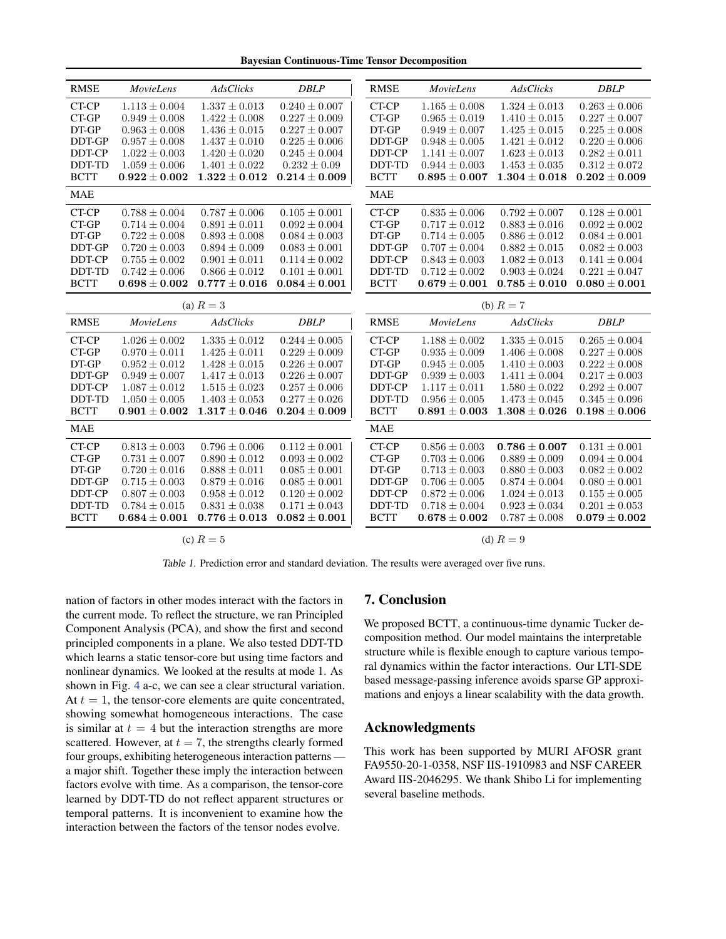Bayesian Continuous-Time Tensor Decomposition

<span id="page-8-0"></span>

| <b>RMSE</b>   | <b>MovieLens</b>  | AdsClicks         | <b>DBLP</b>       | <b>RMSE</b>   | <b>MovieLens</b>  | AdsClicks         | <b>DBLP</b>       |  |
|---------------|-------------------|-------------------|-------------------|---------------|-------------------|-------------------|-------------------|--|
| CT-CP         | $1.113 \pm 0.004$ | $1.337 \pm 0.013$ | $0.240 \pm 0.007$ | CT-CP         | $1.165 \pm 0.008$ | $1.324 \pm 0.013$ | $0.263 \pm 0.006$ |  |
| CT-GP         | $0.949 \pm 0.008$ | $1.422 \pm 0.008$ | $0.227 \pm 0.009$ | CT-GP         | $0.965 \pm 0.019$ | $1.410 \pm 0.015$ | $0.227 \pm 0.007$ |  |
| DT-GP         | $0.963 \pm 0.008$ | $1.436\pm0.015$   | $0.227 \pm 0.007$ | DT-GP         | $0.949 \pm 0.007$ | $1.425 \pm 0.015$ | $0.225 \pm 0.008$ |  |
| DDT-GP        | $0.957 \pm 0.008$ | $1.437 \pm 0.010$ | $0.225 \pm 0.006$ | <b>DDT-GP</b> | $0.948 \pm 0.005$ | $1.421 \pm 0.012$ | $0.220 \pm 0.006$ |  |
| <b>DDT-CP</b> | $1.022 \pm 0.003$ | $1.420 \pm 0.020$ | $0.245 \pm 0.004$ | DDT-CP        | $1.141 \pm 0.007$ | $1.623 \pm 0.013$ | $0.282 \pm 0.011$ |  |
| DDT-TD        | $1.059 \pm 0.006$ | $1.401 \pm 0.022$ | $0.232 \pm 0.09$  | DDT-TD        | $0.944 \pm 0.003$ | $1.453 \pm 0.035$ | $0.312 \pm 0.072$ |  |
| <b>BCTT</b>   | $0.922\pm0.002$   | $1.322\pm0.012$   | $0.214 \pm 0.009$ | <b>BCTT</b>   | $0.895 \pm 0.007$ | $1.304 \pm 0.018$ | $0.202 \pm 0.009$ |  |
| <b>MAE</b>    |                   |                   |                   | <b>MAE</b>    |                   |                   |                   |  |
| CT-CP         | $0.788 \pm 0.004$ | $0.787 \pm 0.006$ | $0.105 \pm 0.001$ | CT-CP         | $0.835 \pm 0.006$ | $0.792 \pm 0.007$ | $0.128\pm0.001$   |  |
| CT-GP         | $0.714 \pm 0.004$ | $0.891 \pm 0.011$ | $0.092 \pm 0.004$ | CT-GP         | $0.717 \pm 0.012$ | $0.883 \pm 0.016$ | $0.092 \pm 0.002$ |  |
| DT-GP         | $0.722 \pm 0.008$ | $0.893 \pm 0.008$ | $0.084 \pm 0.003$ | DT-GP         | $0.714 \pm 0.005$ | $0.886 \pm 0.012$ | $0.084 \pm 0.001$ |  |
| DDT-GP        | $0.720 \pm 0.003$ | $0.894 \pm 0.009$ | $0.083 \pm 0.001$ | DDT-GP        | $0.707 \pm 0.004$ | $0.882 \pm 0.015$ | $0.082 \pm 0.003$ |  |
| DDT-CP        | $0.755 \pm 0.002$ | $0.901 \pm 0.011$ | $0.114 \pm 0.002$ | DDT-CP        | $0.843 \pm 0.003$ | $1.082 \pm 0.013$ | $0.141 \pm 0.004$ |  |
| DDT-TD        | $0.742 \pm 0.006$ | $0.866 \pm 0.012$ | $0.101 \pm 0.001$ | DDT-TD        | $0.712 \pm 0.002$ | $0.903 \pm 0.024$ | $0.221 \pm 0.047$ |  |
| <b>BCTT</b>   | $0.698 \pm 0.002$ | $0.777\pm0.016$   | $0.084 \pm 0.001$ | <b>BCTT</b>   | $0.679 \pm 0.001$ | $0.785 \pm 0.010$ | $0.080 \pm 0.001$ |  |
| (a) $R=3$     |                   |                   |                   |               | (b) $R=7$         |                   |                   |  |
| <b>RMSE</b>   | <b>MovieLens</b>  | AdsClicks         | <b>DBLP</b>       | <b>RMSE</b>   | <b>MovieLens</b>  | <b>AdsClicks</b>  | <b>DBLP</b>       |  |
| CT-CP         | $1.026 \pm 0.002$ | $1.335 \pm 0.012$ | $0.244 \pm 0.005$ | CT-CP         | $1.188 \pm 0.002$ | $1.335 \pm 0.015$ | $0.265 \pm 0.004$ |  |
| CT-GP         | $0.970 \pm 0.011$ | $1.425\pm0.011$   | $0.229 \pm 0.009$ | CT-GP         | $0.935 \pm 0.009$ | $1.406 \pm 0.008$ | $0.227 \pm 0.008$ |  |
| DT-GP         | $0.952 \pm 0.012$ | $1.428 \pm 0.015$ | $0.226 \pm 0.007$ | DT-GP         | $0.945 \pm 0.005$ | $1.410 \pm 0.003$ | $0.222 \pm 0.008$ |  |
| DDT-GP        | $0.949 \pm 0.007$ | $1.417 \pm 0.013$ | $0.226 \pm 0.007$ | DDT-GP        | $0.939 \pm 0.003$ | $1.411 \pm 0.004$ | $0.217 \pm 0.003$ |  |
| DDT-CP        | $1.087 \pm 0.012$ | $1.515 \pm 0.023$ | $0.257 \pm 0.006$ | DDT-CP        | $1.117 \pm 0.011$ | $1.580 \pm 0.022$ | $0.292 \pm 0.007$ |  |
| DDT-TD        | $1.050 \pm 0.005$ | $1.403 \pm 0.053$ | $0.277 \pm 0.026$ | DDT-TD        | $0.956 \pm 0.005$ | $1.473 \pm 0.045$ | $0.345 \pm 0.096$ |  |
| <b>BCTT</b>   | $0.901 \pm 0.002$ | $1.317 \pm 0.046$ | $0.204\pm0.009$   | <b>BCTT</b>   | $0.891 \pm 0.003$ | $1.308 \pm 0.026$ | $0.198 \pm 0.006$ |  |
| <b>MAE</b>    |                   |                   |                   | <b>MAE</b>    |                   |                   |                   |  |
| CT-CP         | $0.813 \pm 0.003$ | $0.796 \pm 0.006$ | $0.112 \pm 0.001$ | CT-CP         | $0.856 \pm 0.003$ | $0.786 \pm 0.007$ | $0.131 \pm 0.001$ |  |
| CT-GP         | $0.731 \pm 0.007$ | $0.890 \pm 0.012$ | $0.093 \pm 0.002$ | CT-GP         | $0.703 \pm 0.006$ | $0.889 \pm 0.009$ | $0.094 \pm 0.004$ |  |
| DT-GP         | $0.720 \pm 0.016$ | $0.888 \pm 0.011$ | $0.085 \pm 0.001$ | DT-GP         | $0.713 \pm 0.003$ | $0.880 \pm 0.003$ | $0.082 \pm 0.002$ |  |
| DDT-GP        | $0.715\pm0.003$   | $0.879 \pm 0.016$ | $0.085 \pm 0.001$ | DDT-GP        | $0.706 \pm 0.005$ | $0.874 \pm 0.004$ | $0.080 \pm 0.001$ |  |
| DDT-CP        | $0.807 \pm 0.003$ | $0.958 \pm 0.012$ | $0.120 \pm 0.002$ | DDT-CP        | $0.872 \pm 0.006$ | $1.024 \pm 0.013$ | $0.155 \pm 0.005$ |  |
| DDT-TD        | $0.784 \pm 0.015$ | $0.831 \pm 0.038$ | $0.171 \pm 0.043$ | DDT-TD        | $0.718 \pm 0.004$ | $0.923 \pm 0.034$ | $0.201 \pm 0.053$ |  |
| <b>BCTT</b>   | $0.684 \pm 0.001$ | $0.776 \pm 0.013$ | $0.082 \pm 0.001$ | <b>BCTT</b>   | $0.678 \pm 0.002$ | $0.787 \pm 0.008$ | $0.079 \pm 0.002$ |  |
| (c) $R=5$     |                   |                   |                   |               | (d) $R=9$         |                   |                   |  |

Table 1. Prediction error and standard deviation. The results were averaged over five runs.

nation of factors in other modes interact with the factors in the current mode. To reflect the structure, we ran Principled Component Analysis (PCA), and show the first and second principled components in a plane. We also tested DDT-TD which learns a static tensor-core but using time factors and nonlinear dynamics. We looked at the results at mode 1. As shown in Fig. [4](#page-7-0) a-c, we can see a clear structural variation. At  $t = 1$ , the tensor-core elements are quite concentrated, showing somewhat homogeneous interactions. The case is similar at  $t = 4$  but the interaction strengths are more scattered. However, at  $t = 7$ , the strengths clearly formed four groups, exhibiting heterogeneous interaction patterns a major shift. Together these imply the interaction between factors evolve with time. As a comparison, the tensor-core learned by DDT-TD do not reflect apparent structures or temporal patterns. It is inconvenient to examine how the interaction between the factors of the tensor nodes evolve.

## 7. Conclusion

We proposed BCTT, a continuous-time dynamic Tucker decomposition method. Our model maintains the interpretable structure while is flexible enough to capture various temporal dynamics within the factor interactions. Our LTI-SDE based message-passing inference avoids sparse GP approximations and enjoys a linear scalability with the data growth.

## Acknowledgments

This work has been supported by MURI AFOSR grant FA9550-20-1-0358, NSF IIS-1910983 and NSF CAREER Award IIS-2046295. We thank Shibo Li for implementing several baseline methods.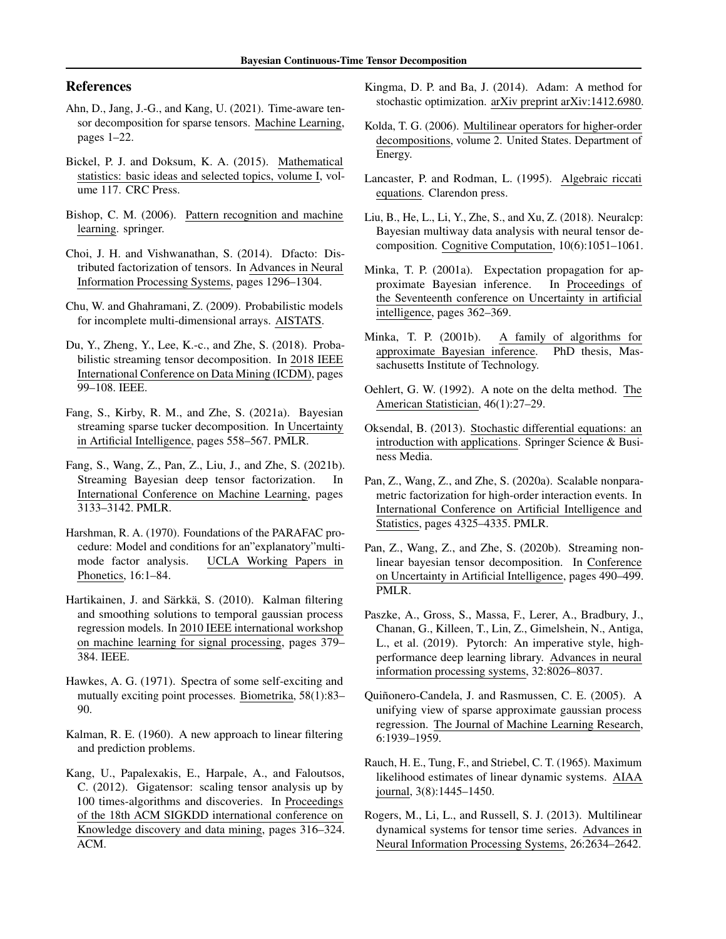## References

- <span id="page-9-21"></span>Ahn, D., Jang, J.-G., and Kang, U. (2021). Time-aware tensor decomposition for sparse tensors. Machine Learning, pages 1–22.
- <span id="page-9-7"></span>Bickel, P. J. and Doksum, K. A. (2015). Mathematical statistics: basic ideas and selected topics, volume I, volume 117. CRC Press.
- <span id="page-9-15"></span>Bishop, C. M. (2006). Pattern recognition and machine learning. springer.
- <span id="page-9-3"></span>Choi, J. H. and Vishwanathan, S. (2014). Dfacto: Distributed factorization of tensors. In Advances in Neural Information Processing Systems, pages 1296–1304.
- <span id="page-9-1"></span>Chu, W. and Ghahramani, Z. (2009). Probabilistic models for incomplete multi-dimensional arrays. AISTATS.
- <span id="page-9-5"></span>Du, Y., Zheng, Y., Lee, K.-c., and Zhe, S. (2018). Probabilistic streaming tensor decomposition. In 2018 IEEE International Conference on Data Mining (ICDM), pages 99–108. IEEE.
- <span id="page-9-24"></span>Fang, S., Kirby, R. M., and Zhe, S. (2021a). Bayesian streaming sparse tucker decomposition. In Uncertainty in Artificial Intelligence, pages 558–567. PMLR.
- <span id="page-9-20"></span>Fang, S., Wang, Z., Pan, Z., Liu, J., and Zhe, S. (2021b). Streaming Bayesian deep tensor factorization. In International Conference on Machine Learning, pages 3133–3142. PMLR.
- <span id="page-9-0"></span>Harshman, R. A. (1970). Foundations of the PARAFAC procedure: Model and conditions for an"explanatory"multimode factor analysis. UCLA Working Papers in Phonetics, 16:1–84.
- <span id="page-9-6"></span>Hartikainen, J. and Särkkä, S. (2010). Kalman filtering and smoothing solutions to temporal gaussian process regression models. In 2010 IEEE international workshop on machine learning for signal processing, pages 379– 384. IEEE.
- <span id="page-9-23"></span>Hawkes, A. G. (1971). Spectra of some self-exciting and mutually exciting point processes. Biometrika, 58(1):83– 90.
- <span id="page-9-12"></span>Kalman, R. E. (1960). A new approach to linear filtering and prediction problems.
- <span id="page-9-2"></span>Kang, U., Papalexakis, E., Harpale, A., and Faloutsos, C. (2012). Gigatensor: scaling tensor analysis up by 100 times-algorithms and discoveries. In Proceedings of the 18th ACM SIGKDD international conference on Knowledge discovery and data mining, pages 316–324. ACM.
- <span id="page-9-26"></span>Kingma, D. P. and Ba, J. (2014). Adam: A method for stochastic optimization. arXiv preprint arXiv:1412.6980.
- <span id="page-9-8"></span>Kolda, T. G. (2006). Multilinear operators for higher-order decompositions, volume 2. United States. Department of Energy.
- <span id="page-9-11"></span>Lancaster, P. and Rodman, L. (1995). Algebraic riccati equations. Clarendon press.
- <span id="page-9-18"></span>Liu, B., He, L., Li, Y., Zhe, S., and Xu, Z. (2018). Neuralcp: Bayesian multiway data analysis with neural tensor decomposition. Cognitive Computation, 10(6):1051–1061.
- <span id="page-9-14"></span>Minka, T. P. (2001a). Expectation propagation for approximate Bayesian inference. In Proceedings of the Seventeenth conference on Uncertainty in artificial intelligence, pages 362–369.
- <span id="page-9-17"></span>Minka, T. P. (2001b). A family of algorithms for approximate Bayesian inference. PhD thesis, Massachusetts Institute of Technology.
- <span id="page-9-16"></span>Oehlert, G. W. (1992). A note on the delta method. The American Statistician, 46(1):27–29.
- <span id="page-9-9"></span>Oksendal, B. (2013). Stochastic differential equations: an introduction with applications. Springer Science & Business Media.
- <span id="page-9-22"></span>Pan, Z., Wang, Z., and Zhe, S. (2020a). Scalable nonparametric factorization for high-order interaction events. In International Conference on Artificial Intelligence and Statistics, pages 4325–4335. PMLR.
- <span id="page-9-19"></span>Pan, Z., Wang, Z., and Zhe, S. (2020b). Streaming nonlinear bayesian tensor decomposition. In Conference on Uncertainty in Artificial Intelligence, pages 490–499. PMLR.
- <span id="page-9-25"></span>Paszke, A., Gross, S., Massa, F., Lerer, A., Bradbury, J., Chanan, G., Killeen, T., Lin, Z., Gimelshein, N., Antiga, L., et al. (2019). Pytorch: An imperative style, highperformance deep learning library. Advances in neural information processing systems, 32:8026–8037.
- <span id="page-9-10"></span>Quiñonero-Candela, J. and Rasmussen, C. E. (2005). A unifying view of sparse approximate gaussian process regression. The Journal of Machine Learning Research, 6:1939–1959.
- <span id="page-9-13"></span>Rauch, H. E., Tung, F., and Striebel, C. T. (1965). Maximum likelihood estimates of linear dynamic systems. AIAA journal, 3(8):1445–1450.
- <span id="page-9-4"></span>Rogers, M., Li, L., and Russell, S. J. (2013). Multilinear dynamical systems for tensor time series. Advances in Neural Information Processing Systems, 26:2634–2642.